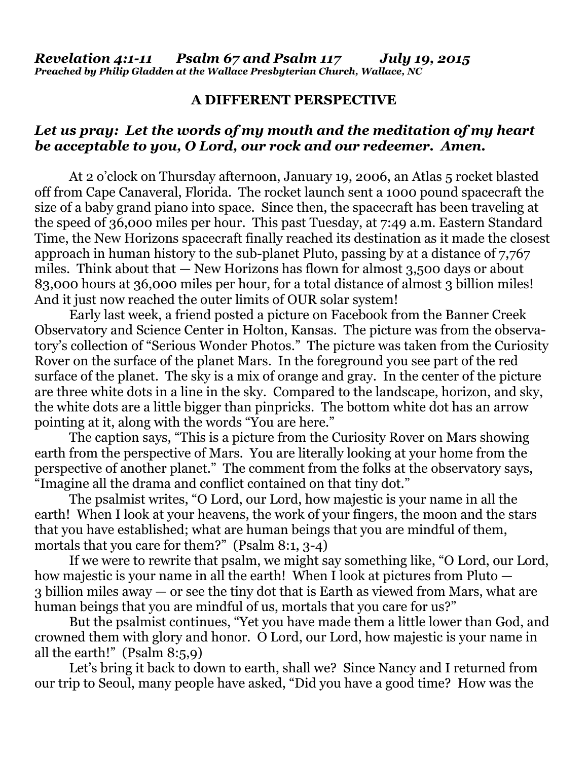## **A DIFFERENT PERSPECTIVE**

## *Let us pray: Let the words of my mouth and the meditation of my heart be acceptable to you, O Lord, our rock and our redeemer. Amen.*

At 2 o'clock on Thursday afternoon, January 19, 2006, an Atlas 5 rocket blasted off from Cape Canaveral, Florida. The rocket launch sent a 1000 pound spacecraft the size of a baby grand piano into space. Since then, the spacecraft has been traveling at the speed of 36,000 miles per hour. This past Tuesday, at 7:49 a.m. Eastern Standard Time, the New Horizons spacecraft finally reached its destination as it made the closest approach in human history to the sub-planet Pluto, passing by at a distance of 7,767 miles. Think about that — New Horizons has flown for almost 3,500 days or about 83,000 hours at 36,000 miles per hour, for a total distance of almost 3 billion miles! And it just now reached the outer limits of OUR solar system!

 Early last week, a friend posted a picture on Facebook from the Banner Creek Observatory and Science Center in Holton, Kansas. The picture was from the observatory's collection of "Serious Wonder Photos." The picture was taken from the Curiosity Rover on the surface of the planet Mars. In the foreground you see part of the red surface of the planet. The sky is a mix of orange and gray. In the center of the picture are three white dots in a line in the sky. Compared to the landscape, horizon, and sky, the white dots are a little bigger than pinpricks. The bottom white dot has an arrow pointing at it, along with the words "You are here."

 The caption says, "This is a picture from the Curiosity Rover on Mars showing earth from the perspective of Mars. You are literally looking at your home from the perspective of another planet." The comment from the folks at the observatory says, "Imagine all the drama and conflict contained on that tiny dot."

 The psalmist writes, "O Lord, our Lord, how majestic is your name in all the earth! When I look at your heavens, the work of your fingers, the moon and the stars that you have established; what are human beings that you are mindful of them, mortals that you care for them?" (Psalm 8:1, 3-4)

 If we were to rewrite that psalm, we might say something like, "O Lord, our Lord, how majestic is your name in all the earth! When I look at pictures from Pluto — 3 billion miles away — or see the tiny dot that is Earth as viewed from Mars, what are human beings that you are mindful of us, mortals that you care for us?"

 But the psalmist continues, "Yet you have made them a little lower than God, and crowned them with glory and honor. O Lord, our Lord, how majestic is your name in all the earth!" (Psalm 8:5,9)

 Let's bring it back to down to earth, shall we? Since Nancy and I returned from our trip to Seoul, many people have asked, "Did you have a good time? How was the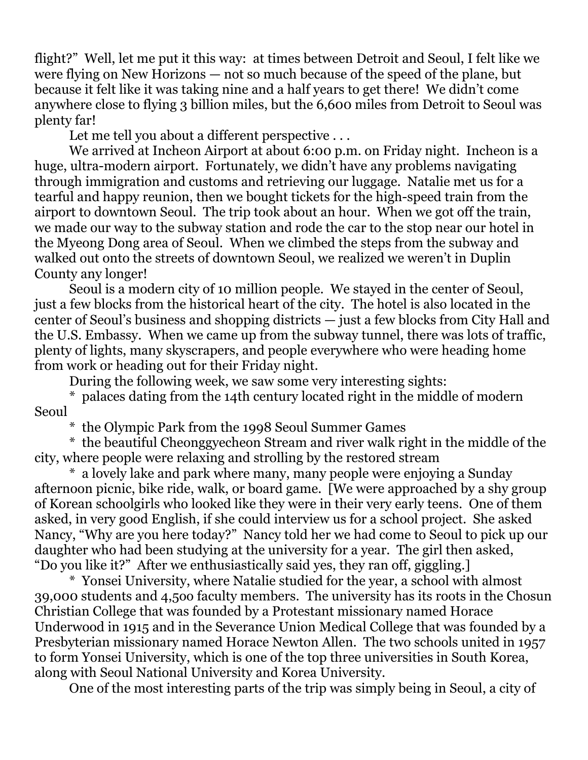flight?" Well, let me put it this way: at times between Detroit and Seoul, I felt like we were flying on New Horizons — not so much because of the speed of the plane, but because it felt like it was taking nine and a half years to get there! We didn't come anywhere close to flying 3 billion miles, but the 6,600 miles from Detroit to Seoul was plenty far!

Let me tell you about a different perspective ...

 We arrived at Incheon Airport at about 6:00 p.m. on Friday night. Incheon is a huge, ultra-modern airport. Fortunately, we didn't have any problems navigating through immigration and customs and retrieving our luggage. Natalie met us for a tearful and happy reunion, then we bought tickets for the high-speed train from the airport to downtown Seoul. The trip took about an hour. When we got off the train, we made our way to the subway station and rode the car to the stop near our hotel in the Myeong Dong area of Seoul. When we climbed the steps from the subway and walked out onto the streets of downtown Seoul, we realized we weren't in Duplin County any longer!

 Seoul is a modern city of 10 million people. We stayed in the center of Seoul, just a few blocks from the historical heart of the city. The hotel is also located in the center of Seoul's business and shopping districts — just a few blocks from City Hall and the U.S. Embassy. When we came up from the subway tunnel, there was lots of traffic, plenty of lights, many skyscrapers, and people everywhere who were heading home from work or heading out for their Friday night.

During the following week, we saw some very interesting sights:

 \* palaces dating from the 14th century located right in the middle of modern Seoul

\* the Olympic Park from the 1998 Seoul Summer Games

 \* the beautiful Cheonggyecheon Stream and river walk right in the middle of the city, where people were relaxing and strolling by the restored stream

 \* a lovely lake and park where many, many people were enjoying a Sunday afternoon picnic, bike ride, walk, or board game. [We were approached by a shy group of Korean schoolgirls who looked like they were in their very early teens. One of them asked, in very good English, if she could interview us for a school project. She asked Nancy, "Why are you here today?" Nancy told her we had come to Seoul to pick up our daughter who had been studying at the university for a year. The girl then asked, "Do you like it?" After we enthusiastically said yes, they ran off, giggling.]

 \* Yonsei University, where Natalie studied for the year, a school with almost 39,000 students and 4,5oo faculty members. The university has its roots in the Chosun Christian College that was founded by a Protestant missionary named Horace Underwood in 1915 and in the Severance Union Medical College that was founded by a Presbyterian missionary named Horace Newton Allen. The two schools united in 1957 to form Yonsei University, which is one of the top three universities in South Korea, along with Seoul National University and Korea University.

One of the most interesting parts of the trip was simply being in Seoul, a city of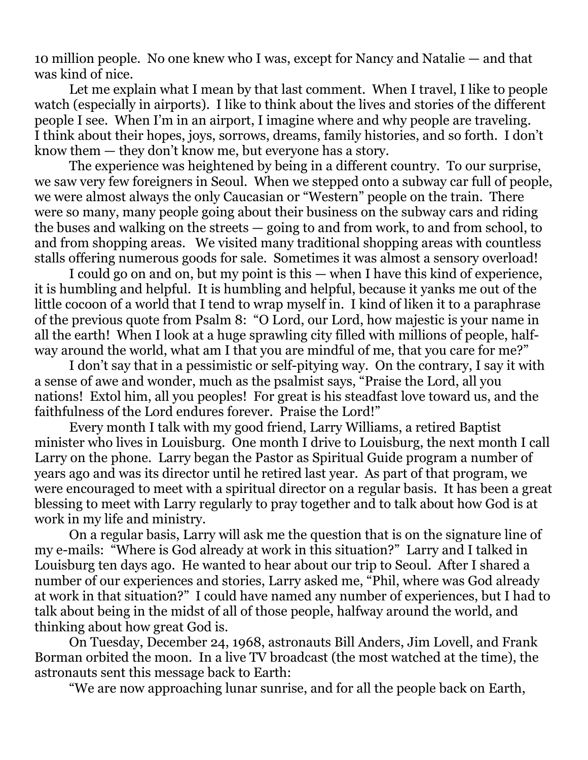10 million people. No one knew who I was, except for Nancy and Natalie — and that was kind of nice.

 Let me explain what I mean by that last comment. When I travel, I like to people watch (especially in airports). I like to think about the lives and stories of the different people I see. When I'm in an airport, I imagine where and why people are traveling. I think about their hopes, joys, sorrows, dreams, family histories, and so forth. I don't know them — they don't know me, but everyone has a story.

 The experience was heightened by being in a different country. To our surprise, we saw very few foreigners in Seoul. When we stepped onto a subway car full of people, we were almost always the only Caucasian or "Western" people on the train. There were so many, many people going about their business on the subway cars and riding the buses and walking on the streets — going to and from work, to and from school, to and from shopping areas. We visited many traditional shopping areas with countless stalls offering numerous goods for sale. Sometimes it was almost a sensory overload!

 I could go on and on, but my point is this — when I have this kind of experience, it is humbling and helpful. It is humbling and helpful, because it yanks me out of the little cocoon of a world that I tend to wrap myself in. I kind of liken it to a paraphrase of the previous quote from Psalm 8: "O Lord, our Lord, how majestic is your name in all the earth! When I look at a huge sprawling city filled with millions of people, halfway around the world, what am I that you are mindful of me, that you care for me?"

 I don't say that in a pessimistic or self-pitying way. On the contrary, I say it with a sense of awe and wonder, much as the psalmist says, "Praise the Lord, all you nations! Extol him, all you peoples! For great is his steadfast love toward us, and the faithfulness of the Lord endures forever. Praise the Lord!"

 Every month I talk with my good friend, Larry Williams, a retired Baptist minister who lives in Louisburg. One month I drive to Louisburg, the next month I call Larry on the phone. Larry began the Pastor as Spiritual Guide program a number of years ago and was its director until he retired last year. As part of that program, we were encouraged to meet with a spiritual director on a regular basis. It has been a great blessing to meet with Larry regularly to pray together and to talk about how God is at work in my life and ministry.

 On a regular basis, Larry will ask me the question that is on the signature line of my e-mails: "Where is God already at work in this situation?" Larry and I talked in Louisburg ten days ago. He wanted to hear about our trip to Seoul. After I shared a number of our experiences and stories, Larry asked me, "Phil, where was God already at work in that situation?" I could have named any number of experiences, but I had to talk about being in the midst of all of those people, halfway around the world, and thinking about how great God is.

 On Tuesday, December 24, 1968, astronauts Bill Anders, Jim Lovell, and Frank Borman orbited the moon. In a live TV broadcast (the most watched at the time), the astronauts sent this message back to Earth:

"We are now approaching lunar sunrise, and for all the people back on Earth,